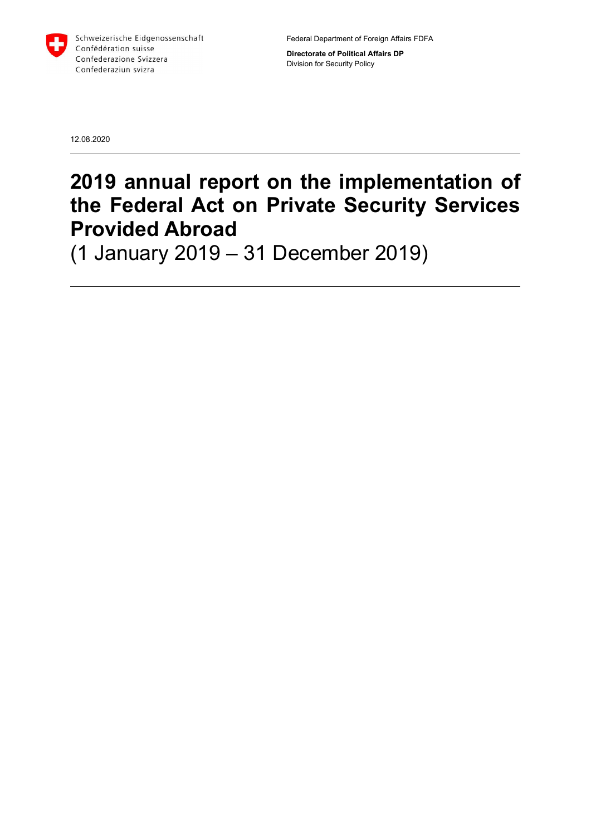

Federal Department of Foreign Affairs FDFA

Directorate of Political Affairs DP Division for Security Policy

12.08.2020

# 2019 annual report on the implementation of the Federal Act on Private Security Services Provided Abroad

(1 January 2019 – 31 December 2019)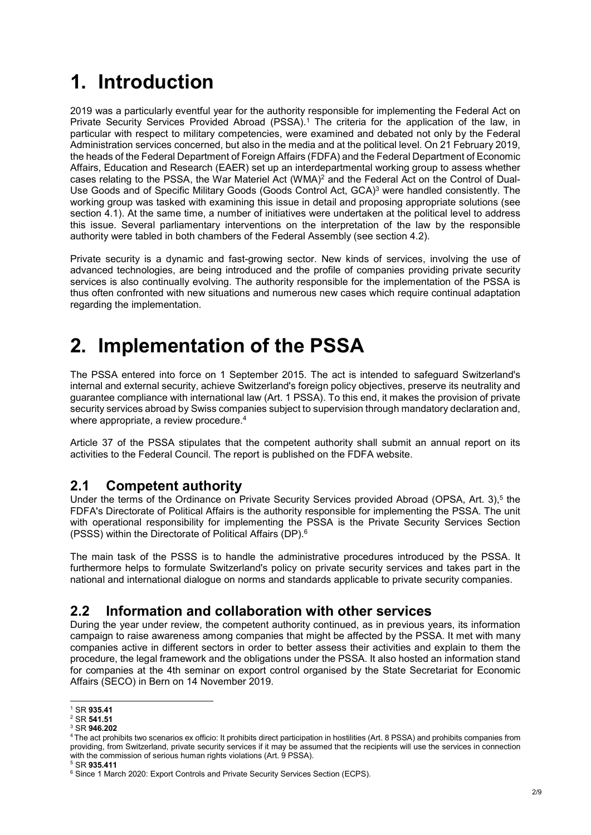# 1. Introduction

2019 was a particularly eventful year for the authority responsible for implementing the Federal Act on Private Security Services Provided Abroad (PSSA).<sup>1</sup> The criteria for the application of the law, in particular with respect to military competencies, were examined and debated not only by the Federal Administration services concerned, but also in the media and at the political level. On 21 February 2019, the heads of the Federal Department of Foreign Affairs (FDFA) and the Federal Department of Economic Affairs, Education and Research (EAER) set up an interdepartmental working group to assess whether cases relating to the PSSA, the War Materiel Act (WMA)<sup>2</sup> and the Federal Act on the Control of Dual-Use Goods and of Specific Military Goods (Goods Control Act, GCA)<sup>3</sup> were handled consistently. The working group was tasked with examining this issue in detail and proposing appropriate solutions (see section 4.1). At the same time, a number of initiatives were undertaken at the political level to address this issue. Several parliamentary interventions on the interpretation of the law by the responsible authority were tabled in both chambers of the Federal Assembly (see section 4.2).

Private security is a dynamic and fast-growing sector. New kinds of services, involving the use of advanced technologies, are being introduced and the profile of companies providing private security services is also continually evolving. The authority responsible for the implementation of the PSSA is thus often confronted with new situations and numerous new cases which require continual adaptation regarding the implementation.

# 2. Implementation of the PSSA

The PSSA entered into force on 1 September 2015. The act is intended to safeguard Switzerland's internal and external security, achieve Switzerland's foreign policy objectives, preserve its neutrality and guarantee compliance with international law (Art. 1 PSSA). To this end, it makes the provision of private security services abroad by Swiss companies subject to supervision through mandatory declaration and, where appropriate, a review procedure.<sup>4</sup>

Article 37 of the PSSA stipulates that the competent authority shall submit an annual report on its activities to the Federal Council. The report is published on the FDFA website.

### 2.1 Competent authority

Under the terms of the Ordinance on Private Security Services provided Abroad (OPSA, Art. 3),<sup>5</sup> the FDFA's Directorate of Political Affairs is the authority responsible for implementing the PSSA. The unit with operational responsibility for implementing the PSSA is the Private Security Services Section (PSSS) within the Directorate of Political Affairs (DP).<sup>6</sup>

The main task of the PSSS is to handle the administrative procedures introduced by the PSSA. It furthermore helps to formulate Switzerland's policy on private security services and takes part in the national and international dialogue on norms and standards applicable to private security companies.

### 2.2 Information and collaboration with other services

During the year under review, the competent authority continued, as in previous years, its information campaign to raise awareness among companies that might be affected by the PSSA. It met with many companies active in different sectors in order to better assess their activities and explain to them the procedure, the legal framework and the obligations under the PSSA. It also hosted an information stand for companies at the 4th seminar on export control organised by the State Secretariat for Economic Affairs (SECO) in Bern on 14 November 2019.

 1 SR 935.41

 $2$  SR 541.51

<sup>3</sup> SR 946.202

<sup>4</sup>The act prohibits two scenarios ex officio: It prohibits direct participation in hostilities (Art. 8 PSSA) and prohibits companies from providing, from Switzerland, private security services if it may be assumed that the recipients will use the services in connection with the commission of serious human rights violations (Art. 9 PSSA).

 $5$  SR 935.411

<sup>&</sup>lt;sup>6</sup> Since 1 March 2020: Export Controls and Private Security Services Section (ECPS).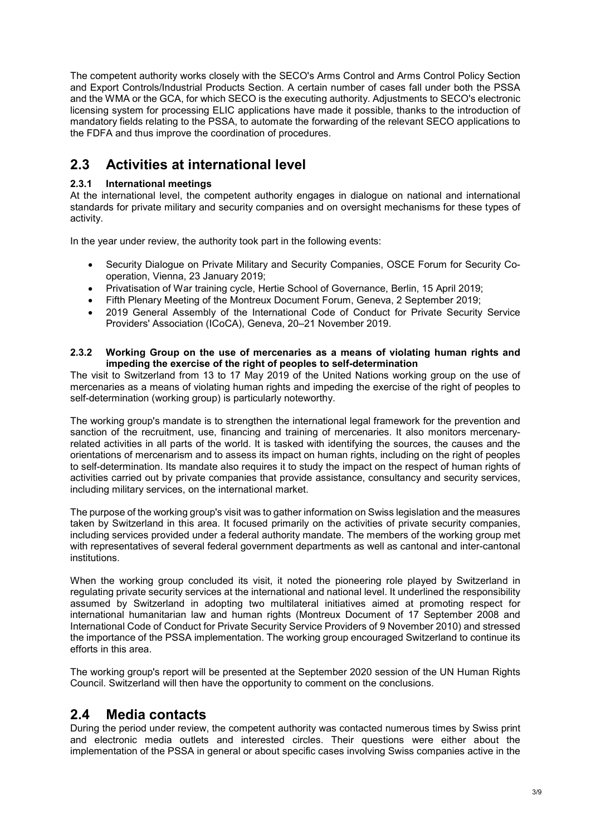The competent authority works closely with the SECO's Arms Control and Arms Control Policy Section and Export Controls/Industrial Products Section. A certain number of cases fall under both the PSSA and the WMA or the GCA, for which SECO is the executing authority. Adjustments to SECO's electronic licensing system for processing ELIC applications have made it possible, thanks to the introduction of mandatory fields relating to the PSSA, to automate the forwarding of the relevant SECO applications to the FDFA and thus improve the coordination of procedures.

## 2.3 Activities at international level

#### 2.3.1 International meetings

At the international level, the competent authority engages in dialogue on national and international standards for private military and security companies and on oversight mechanisms for these types of activity.

In the year under review, the authority took part in the following events:

- Security Dialogue on Private Military and Security Companies, OSCE Forum for Security Cooperation, Vienna, 23 January 2019;
- Privatisation of War training cycle, Hertie School of Governance, Berlin, 15 April 2019;
- Fifth Plenary Meeting of the Montreux Document Forum, Geneva, 2 September 2019;
- 2019 General Assembly of the International Code of Conduct for Private Security Service Providers' Association (ICoCA), Geneva, 20–21 November 2019.

#### 2.3.2 Working Group on the use of mercenaries as a means of violating human rights and impeding the exercise of the right of peoples to self-determination

The visit to Switzerland from 13 to 17 May 2019 of the United Nations working group on the use of mercenaries as a means of violating human rights and impeding the exercise of the right of peoples to self-determination (working group) is particularly noteworthy.

The working group's mandate is to strengthen the international legal framework for the prevention and sanction of the recruitment, use, financing and training of mercenaries. It also monitors mercenaryrelated activities in all parts of the world. It is tasked with identifying the sources, the causes and the orientations of mercenarism and to assess its impact on human rights, including on the right of peoples to self-determination. Its mandate also requires it to study the impact on the respect of human rights of activities carried out by private companies that provide assistance, consultancy and security services, including military services, on the international market.

The purpose of the working group's visit was to gather information on Swiss legislation and the measures taken by Switzerland in this area. It focused primarily on the activities of private security companies, including services provided under a federal authority mandate. The members of the working group met with representatives of several federal government departments as well as cantonal and inter-cantonal institutions.

When the working group concluded its visit, it noted the pioneering role played by Switzerland in regulating private security services at the international and national level. It underlined the responsibility assumed by Switzerland in adopting two multilateral initiatives aimed at promoting respect for international humanitarian law and human rights (Montreux Document of 17 September 2008 and International Code of Conduct for Private Security Service Providers of 9 November 2010) and stressed the importance of the PSSA implementation. The working group encouraged Switzerland to continue its efforts in this area.

The working group's report will be presented at the September 2020 session of the UN Human Rights Council. Switzerland will then have the opportunity to comment on the conclusions.

#### 2.4 Media contacts

During the period under review, the competent authority was contacted numerous times by Swiss print and electronic media outlets and interested circles. Their questions were either about the implementation of the PSSA in general or about specific cases involving Swiss companies active in the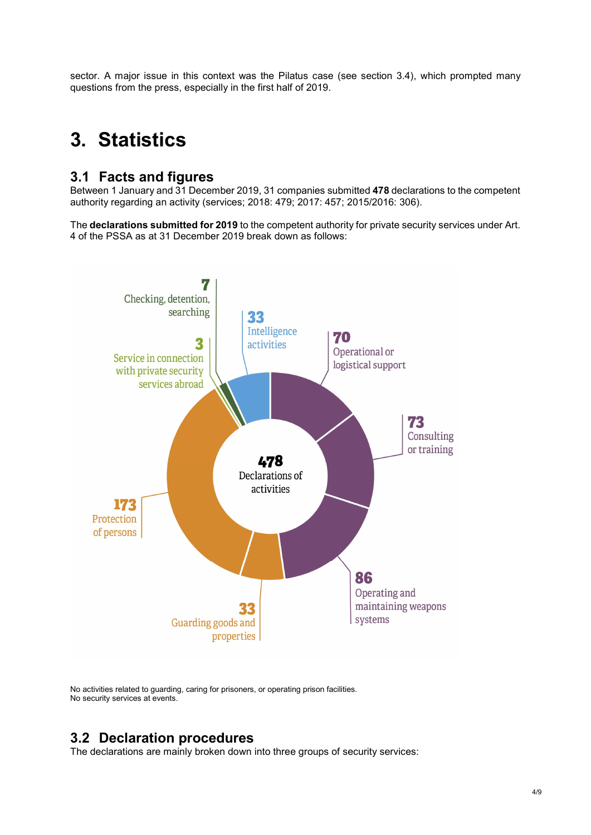sector. A major issue in this context was the Pilatus case (see section 3.4), which prompted many questions from the press, especially in the first half of 2019.

# 3. Statistics

#### 3.1 Facts and figures

Between 1 January and 31 December 2019, 31 companies submitted 478 declarations to the competent authority regarding an activity (services; 2018: 479; 2017: 457; 2015/2016: 306).

The declarations submitted for 2019 to the competent authority for private security services under Art. 4 of the PSSA as at 31 December 2019 break down as follows:



No activities related to guarding, caring for prisoners, or operating prison facilities. No security services at events.

### 3.2 Declaration procedures

The declarations are mainly broken down into three groups of security services: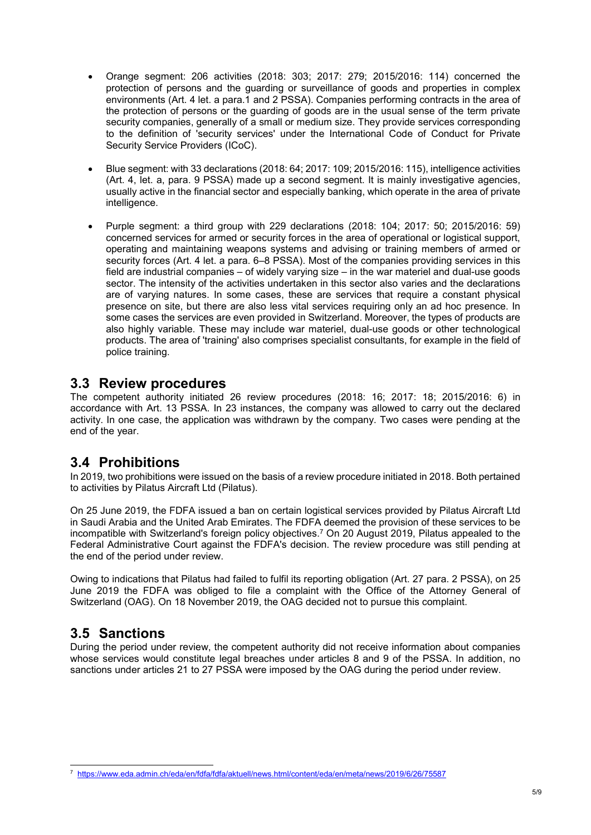- Orange segment: 206 activities (2018: 303; 2017: 279; 2015/2016: 114) concerned the protection of persons and the guarding or surveillance of goods and properties in complex environments (Art. 4 let. a para.1 and 2 PSSA). Companies performing contracts in the area of the protection of persons or the guarding of goods are in the usual sense of the term private security companies, generally of a small or medium size. They provide services corresponding to the definition of 'security services' under the International Code of Conduct for Private Security Service Providers (ICoC).
- Blue segment: with 33 declarations (2018: 64; 2017: 109; 2015/2016: 115), intelligence activities (Art. 4, let. a, para. 9 PSSA) made up a second segment. It is mainly investigative agencies, usually active in the financial sector and especially banking, which operate in the area of private intelligence.
- Purple segment: a third group with 229 declarations (2018: 104; 2017: 50; 2015/2016: 59) concerned services for armed or security forces in the area of operational or logistical support, operating and maintaining weapons systems and advising or training members of armed or security forces (Art. 4 let. a para. 6–8 PSSA). Most of the companies providing services in this field are industrial companies – of widely varying size – in the war materiel and dual-use goods sector. The intensity of the activities undertaken in this sector also varies and the declarations are of varying natures. In some cases, these are services that require a constant physical presence on site, but there are also less vital services requiring only an ad hoc presence. In some cases the services are even provided in Switzerland. Moreover, the types of products are also highly variable. These may include war materiel, dual-use goods or other technological products. The area of 'training' also comprises specialist consultants, for example in the field of police training.

#### 3.3 Review procedures

The competent authority initiated 26 review procedures (2018: 16; 2017: 18; 2015/2016: 6) in accordance with Art. 13 PSSA. In 23 instances, the company was allowed to carry out the declared activity. In one case, the application was withdrawn by the company. Two cases were pending at the end of the year.

### 3.4 Prohibitions

In 2019, two prohibitions were issued on the basis of a review procedure initiated in 2018. Both pertained to activities by Pilatus Aircraft Ltd (Pilatus).

On 25 June 2019, the FDFA issued a ban on certain logistical services provided by Pilatus Aircraft Ltd in Saudi Arabia and the United Arab Emirates. The FDFA deemed the provision of these services to be incompatible with Switzerland's foreign policy objectives.<sup>7</sup> On 20 August 2019, Pilatus appealed to the Federal Administrative Court against the FDFA's decision. The review procedure was still pending at the end of the period under review.

Owing to indications that Pilatus had failed to fulfil its reporting obligation (Art. 27 para. 2 PSSA), on 25 June 2019 the FDFA was obliged to file a complaint with the Office of the Attorney General of Switzerland (OAG). On 18 November 2019, the OAG decided not to pursue this complaint.

### 3.5 Sanctions

During the period under review, the competent authority did not receive information about companies whose services would constitute legal breaches under articles 8 and 9 of the PSSA. In addition, no sanctions under articles 21 to 27 PSSA were imposed by the OAG during the period under review.

l 7 https://www.eda.admin.ch/eda/en/fdfa/fdfa/aktuell/news.html/content/eda/en/meta/news/2019/6/26/75587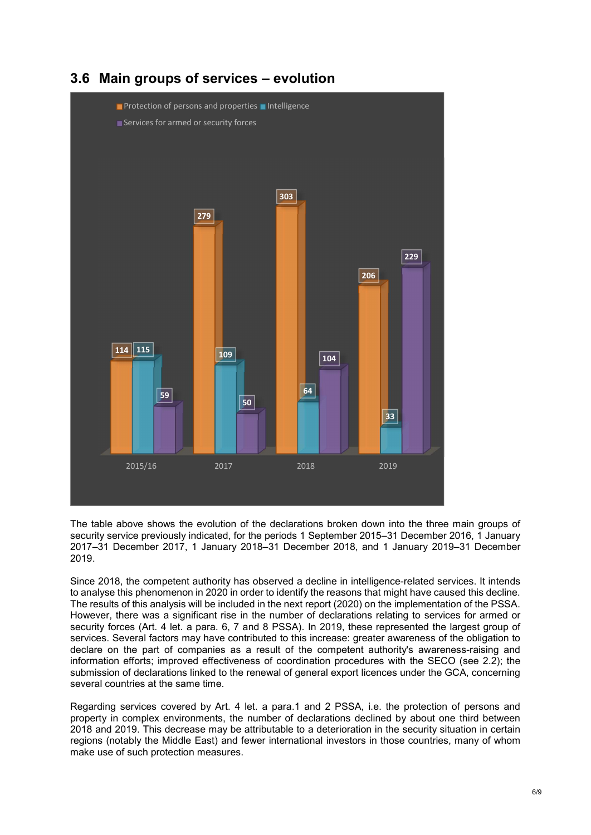

### 3.6 Main groups of services – evolution

The table above shows the evolution of the declarations broken down into the three main groups of security service previously indicated, for the periods 1 September 2015–31 December 2016, 1 January 2017–31 December 2017, 1 January 2018–31 December 2018, and 1 January 2019–31 December 2019.

Since 2018, the competent authority has observed a decline in intelligence-related services. It intends to analyse this phenomenon in 2020 in order to identify the reasons that might have caused this decline. The results of this analysis will be included in the next report (2020) on the implementation of the PSSA. However, there was a significant rise in the number of declarations relating to services for armed or security forces (Art. 4 let. a para. 6, 7 and 8 PSSA). In 2019, these represented the largest group of services. Several factors may have contributed to this increase: greater awareness of the obligation to declare on the part of companies as a result of the competent authority's awareness-raising and information efforts; improved effectiveness of coordination procedures with the SECO (see 2.2); the submission of declarations linked to the renewal of general export licences under the GCA, concerning several countries at the same time.

Regarding services covered by Art. 4 let. a para.1 and 2 PSSA, i.e. the protection of persons and property in complex environments, the number of declarations declined by about one third between 2018 and 2019. This decrease may be attributable to a deterioration in the security situation in certain regions (notably the Middle East) and fewer international investors in those countries, many of whom make use of such protection measures.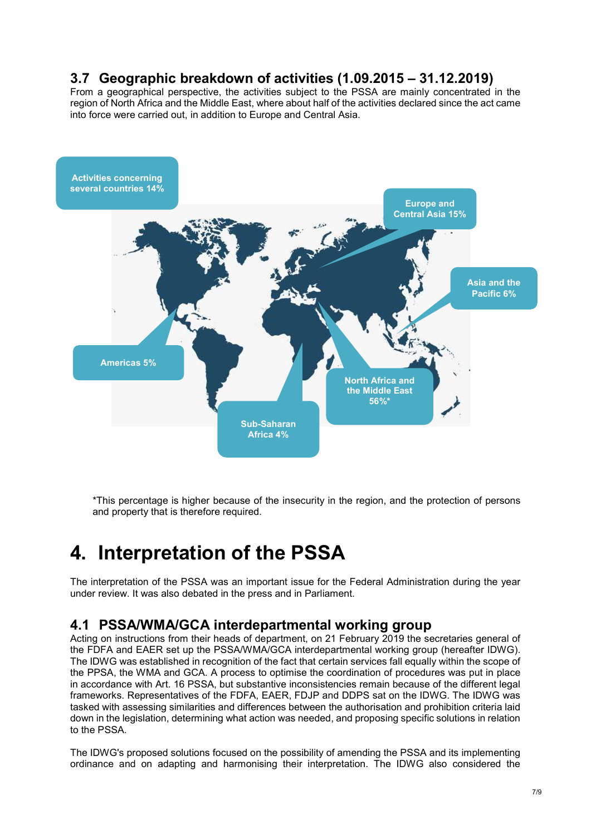### 3.7 Geographic breakdown of activities (1.09.2015 – 31.12.2019)

From a geographical perspective, the activities subject to the PSSA are mainly concentrated in the region of North Africa and the Middle East, where about half of the activities declared since the act came into force were carried out, in addition to Europe and Central Asia.



\*This percentage is higher because of the insecurity in the region, and the protection of persons and property that is therefore required.

# 4. Interpretation of the PSSA

The interpretation of the PSSA was an important issue for the Federal Administration during the year under review. It was also debated in the press and in Parliament.

#### 4.1 PSSA/WMA/GCA interdepartmental working group

Acting on instructions from their heads of department, on 21 February 2019 the secretaries general of the FDFA and EAER set up the PSSA/WMA/GCA interdepartmental working group (hereafter IDWG). The IDWG was established in recognition of the fact that certain services fall equally within the scope of the PPSA, the WMA and GCA. A process to optimise the coordination of procedures was put in place in accordance with Art. 16 PSSA, but substantive inconsistencies remain because of the different legal frameworks. Representatives of the FDFA, EAER, FDJP and DDPS sat on the IDWG. The IDWG was tasked with assessing similarities and differences between the authorisation and prohibition criteria laid down in the legislation, determining what action was needed, and proposing specific solutions in relation to the PSSA.

The IDWG's proposed solutions focused on the possibility of amending the PSSA and its implementing ordinance and on adapting and harmonising their interpretation. The IDWG also considered the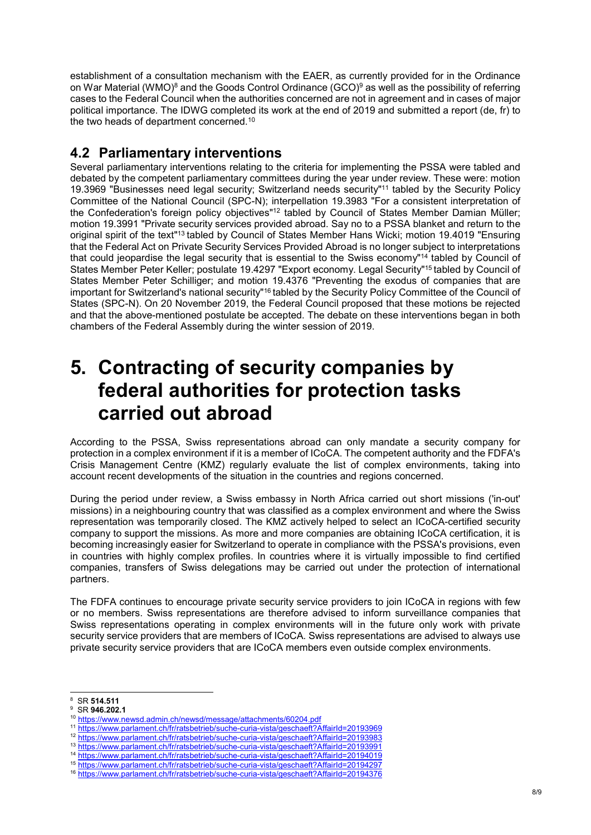establishment of a consultation mechanism with the EAER, as currently provided for in the Ordinance on War Material (WMO) $^8$  and the Goods Control Ordinance (GCO) $^9$  as well as the possibility of referring cases to the Federal Council when the authorities concerned are not in agreement and in cases of major political importance. The IDWG completed its work at the end of 2019 and submitted a report (de, fr) to the two heads of department concerned.<sup>10</sup>

### 4.2 Parliamentary interventions

Several parliamentary interventions relating to the criteria for implementing the PSSA were tabled and debated by the competent parliamentary committees during the year under review. These were: motion 19.3969 "Businesses need legal security; Switzerland needs security"<sup>11</sup> tabled by the Security Policy Committee of the National Council (SPC-N); interpellation 19.3983 "For a consistent interpretation of the Confederation's foreign policy objectives"<sup>12</sup> tabled by Council of States Member Damian Müller; motion 19.3991 "Private security services provided abroad. Say no to a PSSA blanket and return to the original spirit of the text<sup>"13</sup> tabled by Council of States Member Hans Wicki; motion 19.4019 "Ensuring that the Federal Act on Private Security Services Provided Abroad is no longer subject to interpretations that could jeopardise the legal security that is essential to the Swiss economy"<sup>14</sup> tabled by Council of States Member Peter Keller; postulate 19.4297 "Export economy. Legal Security"<sup>15</sup> tabled by Council of States Member Peter Schilliger; and motion 19.4376 "Preventing the exodus of companies that are important for Switzerland's national security<sup>"16</sup> tabled by the Security Policy Committee of the Council of States (SPC-N). On 20 November 2019, the Federal Council proposed that these motions be rejected and that the above-mentioned postulate be accepted. The debate on these interventions began in both chambers of the Federal Assembly during the winter session of 2019.

## 5. Contracting of security companies by federal authorities for protection tasks carried out abroad

According to the PSSA, Swiss representations abroad can only mandate a security company for protection in a complex environment if it is a member of ICoCA. The competent authority and the FDFA's Crisis Management Centre (KMZ) regularly evaluate the list of complex environments, taking into account recent developments of the situation in the countries and regions concerned.

During the period under review, a Swiss embassy in North Africa carried out short missions ('in-out' missions) in a neighbouring country that was classified as a complex environment and where the Swiss representation was temporarily closed. The KMZ actively helped to select an ICoCA-certified security company to support the missions. As more and more companies are obtaining ICoCA certification, it is becoming increasingly easier for Switzerland to operate in compliance with the PSSA's provisions, even in countries with highly complex profiles. In countries where it is virtually impossible to find certified companies, transfers of Swiss delegations may be carried out under the protection of international partners.

The FDFA continues to encourage private security service providers to join ICoCA in regions with few or no members. Swiss representations are therefore advised to inform surveillance companies that Swiss representations operating in complex environments will in the future only work with private security service providers that are members of ICoCA. Swiss representations are advised to always use private security service providers that are ICoCA members even outside complex environments.

-

<sup>8</sup> SR 514.511

<sup>&</sup>lt;sup>9</sup> SR 946.202.1 <sup>10</sup> https://www.newsd.admin.ch/newsd/message/attachments/60204.pdf

<sup>11</sup> https://www.parlament.ch/fr/ratsbetrieb/suche-curia-vista/geschaeft?AffairId=20193969

<sup>12</sup> https://www.parlament.ch/fr/ratsbetrieb/suche-curia-vista/geschaeft?AffairId=20193983

<sup>13</sup> https://www.parlament.ch/fr/ratsbetrieb/suche-curia-vista/geschaeft?AffairId=20193991

<sup>14</sup> https://www.parlament.ch/fr/ratsbetrieb/suche-curia-vista/geschaeft?AffairId=20194019 <sup>15</sup> https://www.parlament.ch/fr/ratsbetrieb/suche-curia-vista/geschaeft?AffairId=20194297

<sup>16</sup> https://www.parlament.ch/fr/ratsbetrieb/suche-curia-vista/geschaeft?AffairId=20194376